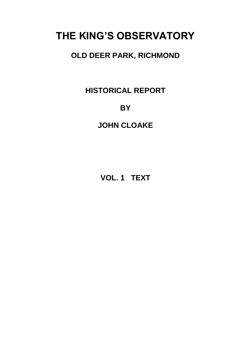# **THE KING'S OBSERVATORY**

### **OLD DEER PARK, RICHMOND**

**HISTORICAL REPORT**

### **BY**

### **JOHN CLOAKE**

**VOL. 1 TEXT**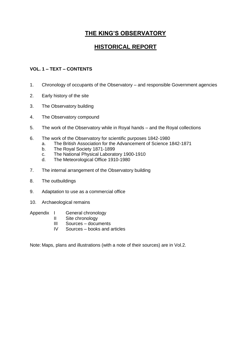### **THE KING'S OBSERVATORY**

### **HISTORICAL REPORT**

#### **VOL. 1 – TEXT – CONTENTS**

- 1. Chronology of occupants of the Observatory and responsible Government agencies
- 2. Early history of the site
- 3. The Observatory building
- 4. The Observatory compound
- 5. The work of the Observatory while in Royal hands and the Royal collections
- 6. The work of the Observatory for scientific purposes 1842-1980
	- a. The British Association for the Advancement of Science 1842-1871
	- b. The Royal Society 1871-1899
	- c. The National Physical Laboratory 1900-1910
	- d. The Meteorological Office 1910-1980
- 7. The internal arrangement of the Observatory building
- 8. The outbuildings
- 9. Adaptation to use as a commercial office
- 10. Archaeological remains
- Appendix I General chronology
	- II Site chronology
	- III Sources documents
	- IV Sources books and articles

Note: Maps, plans and illustrations (with a note of their sources) are in Vol.2.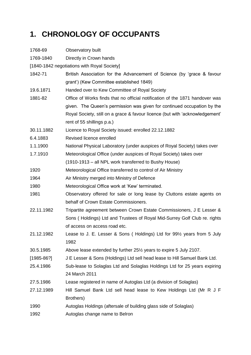# **1. CHRONOLOGY OF OCCUPANTS**

| 1768-69                                     | Observatory built                                                              |  |  |  |  |  |
|---------------------------------------------|--------------------------------------------------------------------------------|--|--|--|--|--|
| 1769-1840                                   | Directly in Crown hands                                                        |  |  |  |  |  |
| [1840-1842 negotiations with Royal Society] |                                                                                |  |  |  |  |  |
| 1842-71                                     | British Association for the Advancement of Science (by 'grace & favour         |  |  |  |  |  |
|                                             | grant') (Kew Committee established 1849)                                       |  |  |  |  |  |
| 19.6.1871                                   | Handed over to Kew Committee of Royal Society                                  |  |  |  |  |  |
| 1881-82                                     | Office of Works finds that no official notification of the 1871 handover was   |  |  |  |  |  |
|                                             | given. The Queen's permission was given for continued occupation by the        |  |  |  |  |  |
|                                             | Royal Society, still on a grace & favour licence (but with 'acknowledgement'   |  |  |  |  |  |
|                                             | rent of 55 shillings p.a.)                                                     |  |  |  |  |  |
| 30.11.1882                                  | Licence to Royal Society issued: enrolled 22.12.1882                           |  |  |  |  |  |
| 6.4.1883                                    | Revised licence enrolled                                                       |  |  |  |  |  |
| 1.1.1900                                    | National Physical Laboratory (under auspices of Royal Society) takes over      |  |  |  |  |  |
| 1.7.1910                                    | Meteorological Office (under auspices of Royal Society) takes over             |  |  |  |  |  |
|                                             | (1910-1913 – all NPL work transferred to Bushy House)                          |  |  |  |  |  |
| 1920                                        | Meteorological Office transferred to control of Air Ministry                   |  |  |  |  |  |
| 1964                                        | Air Ministry merged into Ministry of Defence                                   |  |  |  |  |  |
| 1980                                        | Meteorological Office work at 'Kew' terminated.                                |  |  |  |  |  |
| 1981                                        | Observatory offered for sale or long lease by Cluttons estate agents on        |  |  |  |  |  |
|                                             | behalf of Crown Estate Commissioners.                                          |  |  |  |  |  |
| 22.11.1982                                  | Tripartite agreement between Crown Estate Commissioners, J E Lesser &          |  |  |  |  |  |
|                                             | Sons (Holdings) Ltd and Trustees of Royal Mid-Surrey Golf Club re. rights      |  |  |  |  |  |
|                                             | of access on access road etc.                                                  |  |  |  |  |  |
| 21.12.1982                                  | Lease to J. E. Lesser & Sons (Holdings) Ltd for 99½ years from 5 July          |  |  |  |  |  |
|                                             | 1982                                                                           |  |  |  |  |  |
| 30.5.1985                                   | Above lease extended by further 25 <sup>1/2</sup> years to expire 5 July 2107. |  |  |  |  |  |
| $[1985 - 86?]$                              | J E Lesser & Sons (Holdings) Ltd sell head lease to Hill Samuel Bank Ltd.      |  |  |  |  |  |
| 25.4.1986                                   | Sub-lease to Solaglas Ltd and Solaglas Holdings Ltd for 25 years expiring      |  |  |  |  |  |
|                                             | 24 March 2011                                                                  |  |  |  |  |  |
| 27.5.1986                                   | Lease registered in name of Autoglas Ltd (a division of Solaglas)              |  |  |  |  |  |
| 27.12.1989                                  | Hill Samuel Bank Ltd sell head lease to Kew Holdings Ltd (Mr R J F             |  |  |  |  |  |
|                                             | Brothers)                                                                      |  |  |  |  |  |
| 1990                                        | Autoglas Holdings (aftersale of building glass side of Solaglas)               |  |  |  |  |  |
| 1992                                        | Autoglas change name to Belron                                                 |  |  |  |  |  |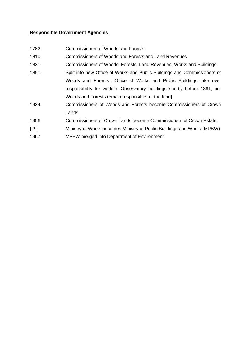#### **Responsible Government Agencies**

| 1782 | <b>Commissioners of Woods and Forests</b> |  |
|------|-------------------------------------------|--|
|      |                                           |  |

1810 Commissioners of Woods and Forests and Land Revenues

- 1831 Commissioners of Woods, Forests, Land Revenues, Works and Buildings
- 1851 Split into new Office of Works and Public Buildings and Commissioners of Woods and Forests. [Office of Works and Public Buildings take over responsibility for work in Observatory buildings shortly before 1881, but Woods and Forests remain responsible for the land].
- 1924 Commissioners of Woods and Forests become Commissioners of Crown Lands.
- 1956 Commissioners of Crown Lands become Commissioners of Crown Estate
- [ ? ] Ministry of Works becomes Ministry of Public Buildings and Works (MPBW)
- 1967 MPBW merged into Department of Environment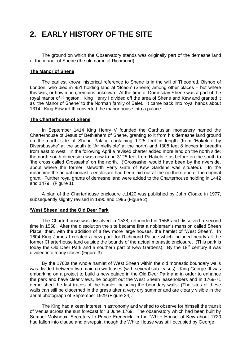### **2. EARLY HISTORY OF THE SITE**

The ground on which the Observatory stands was originally part of the demesne land of the manor of Shene (the old name of Richmond).

#### **The Manor of Shene**

The earliest known historical reference to Shene is in the will of Theodred, Bishop of London, who died in 951 holding land at 'Sceon' (Shene) among other places – but where this was, or how much, remains unknown. At the time of Domesday Shene was a part of the royal manor of Kingston. King Henry I divided off the area of Shene and Kew and granted it as 'the Manor of Shene' to the Norman family of Belet. It came back into royal hands about 1314. King Edward III converted the manor house into a palace.

#### **The Charterhouse of Shene**

In September 1414 King Henry V founded the Carthusian monastery named the Charterhouse of Jesus of Bethlehem of Shene, granting to it from his demesne land ground on the north side of Shene Palace containing 1725 feet in length (from 'Hakelote by Diversbusshe' at the south to 'Ar nietislote' at the north) and 1305 feet 8 inches in breadth from east to west. In the following April a revised charter added more land on the north side: the north-south dimension was now to be 3125 feet from Hakelote as before on the south to 'the cross called Crossashe' on the north. ('Crossashe' would have been by the riverside, about where the former Isleworth Ferry Gate of Kew Gardens was situated). In the meantime the actual monastic enclosure had been laid out at the northern end of the original grant. Further royal grants of demesne land were added to the Charterhouse holding in 1442 and 1479. (Figure 1).

A plan of the Charterhouse enclosure c.1420 was published by John Cloake in 1977, subsequently slightly revised in 1990 and 1995 (Figure 2).

#### **'West Sheen' and the Old Deer Park**

The Charterhouse was dissolved in 1538, refounded in 1556 and dissolved a second time in 1558. After the dissolution the site became first a nobleman's mansion called Sheen Place; then, with the addition of a few more large houses, the hamlet of 'West Sheen'. In 1604 King James I created a new park for Richmond Palace which included nearly all the former Charterhouse land outside the bounds of the actual monastic enclosure. (This park is today the Old Deer Park and a southern part of Kew Gardens). By the  $18<sup>th</sup>$  century it was divided into many closes (Figure 3).

By the 1760s the whole hamlet of West Sheen within the old monastic boundary walls was divided between two main crown leases (with several sub-leases). King George III was embarking on a project to build a new palace in the Old Deer Park and in order to enhance the park and have clear views, he bought out the West Sheen leaseholders and in 1769-71 demolished the last traces of the hamlet including the boundary walls. (The sites of these walls can still be discerned in the grass after a very dry summer and are clearly visible in the aerial photograph of September 1929 (Figure 24).

The King had a keen interest in astronomy and wished to observe for himself the transit of Venus across the sun forecast for 3 June 1769. The observatory which had been built by Samuel Molyneux, Secretary to Prince Frederick, in the 'White House' at Kew about 1720 had fallen into disuse and disrepair, though the White House was still occupied by George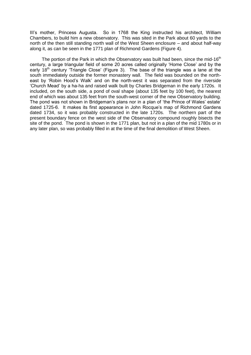III's mother, Princess Augusta. So in 1768 the King instructed his architect, William Chambers, to build him a new observatory. This was sited in the Park about 60 yards to the north of the then still standing north wall of the West Sheen enclosure – and about half-way along it, as can be seen in the 1771 plan of Richmond Gardens (Figure 4).

The portion of the Park in which the Observatory was built had been, since the mid-16<sup>th</sup> century, a large triangular field of some 20 acres called originally 'Home Close' and by the early 18<sup>th</sup> century 'Triangle Close' (Figure 3). The base of the triangle was a lane at the south immediately outside the former monastery wall. The field was bounded on the northeast by 'Robin Hood's Walk' and on the north-west it was separated from the riverside 'Church Mead' by a ha-ha and raised walk built by Charles Bridgeman in the early 1720s. It included, on the south side, a pond of oval shape (about 135 feet by 100 feet), the nearest end of which was about 135 feet from the south-west corner of the new Observatory building. The pond was not shown in Bridgeman's plans nor in a plan of 'the Prince of Wales' estate' dated 1725-6. It makes its first appearance in John Rocque's map of Richmond Gardens dated 1734, so it was probably constructed in the late 1720s. The northern part of the present boundary fence on the west side of the Observatory compound roughly bisects the site of the pond. The pond is shown in the 1771 plan, but not in a plan of the mid 1780s or in any later plan, so was probably filled in at the time of the final demolition of West Sheen.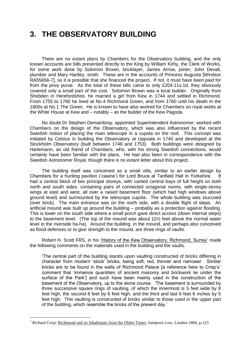### **3. THE OBSERVATORY BUILDING**

There are no extant plans by Chambers for the Observatory building, and the only known accounts are bills presented directly to the King by William Kirby, the Clerk of Works, for some work done by Solomon Brown, bricklayer, James Arrow, joiner, John Devall, plumber and Mary Hartley, smith. These are in the accounts of Princess Augusta [Windsor RA55656-7], so it is possible that she financed the project. If not, it must have been paid for from the privy purse. As the total of these bills came to only £204.11s.1d, they obviously covered only a small part of the cost. Solomon Brown was a local builder. Originally from Shobden in Herefordshire, he married a girl from Kew in 1744 and settled in Richmond. From 1755 to 1760 he lived at No.4 Richmond Green, and from 1760 until his death in the 1800s at No.1 The Green. He is known to have also worked for Chambers on royal works at the White House at Kew and – notably – as the builder of the Kew Pagoda.

No doubt Dr Stephen Demainbray, appointed Superintendent Astronomer, worked with Chambers on the design of the Observatory, which was also influenced by the recent Swedish notion of placing the main telescope in a cupola on the roof. This concept was initiated by Celsius in building the Observatory at Uppsala in 1740 and developed at the Stockholm Observatory (built between 1746 and 1753). Both buildings were designed by Harlemann, an old friend of Chambers, who, with his strong Swedish connections, would certainly have been familiar with the plans. He had also been in correspondence with the Swedish Astronomer Royal, though there is no extant letter about this project.

The building itself was conceived as a small villa, similar to an earlier design by Chambers for a hunting pavilion ('casine') for Lord Bruce at Tanfield Hall in Yorkshire. It had a central block of two principal storeys, with canted central bays of full height on both north and south sides, containing pairs of connected octagonal rooms, with single-storey wings at east and west, all over a raised basement floor (which had high windows above ground level) and surmounted by the telescope cupola. The whole building was stuccoed (over brick). The main entrance was on the north side, with a double flight of steps. An artificial mound was built up around the building – probably as a protection against flooding. This is lower on the south side where a small porch gave direct access (down internal steps) to the basement level. (The top of the mound was about 12½ feet above the normal water level in the riverside ha-ha). Around the building, in the mound, and perhaps also conceived as flood defences or to give strength to the mound, are three rings of vaults.

Robert H. Scott FRS, in his 'History of the Kew Observatory, Richmond, Surrey' made the following comments on the materials used in the building and the vaults.

'The central part of the building stands upon vaulting constructed of bricks differing in character from modern 'stock' bricks, being soft, red, thinner and narrower. Similar bricks are to be found in the walls of Richmond Palace [a reference here to Crisp's<sup>\*</sup> comment that 'immense quantities of ancient masonry and brickwork lie under the surface of the Park'] and such have been mainly used in the construction of the basement of the Observatory, up to the stone course. 'The basement is surrounded by three successive square rings of vaulting, of which the innermost is 5 feet wide by 8 feet high, the second 8 feet by 6 feet high, and the third and last 6 feet 6 inches by 5 feet high. This vaulting is constructed of bricks similar to those used in the upper part of the building, which resemble the bricks of the present day.'

 $\overline{a}$ 

Richard Crisp: Richmond and its Inhabitants from the Olden Times, Sampson Low, London 1866, p.123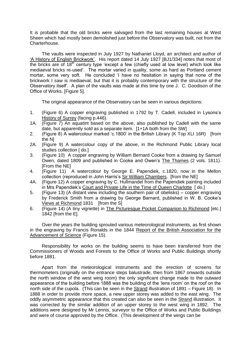It is probable that the old bricks were salvaged from the last remaining houses at West Sheen which had mostly been demolished just before the Observatory was built, not from the Charterhouse.

The vaults were inspected in July 1927 by Nathaniel Lloyd, an architect and author of 'A History of English Brickwork'. His report dated 14 July 1927 [BJ1/334] notes that most of the bricks are of  $18<sup>th</sup>$  century type 'except a few (chiefly used at low level) which look like mediaeval bricks re-used'. The mortar varied in quality, some as hard as Portland cement mortar, some very soft. He concluded 'I have no hesitation in saying that none of the brickwork I saw is mediaeval, but that it is probably contemporary with the structure of the Observatory itself'. A plan of the vaults was made at this time by one J. C. Goodison of the Office of Works. [Figure 5].

The original appearance of the Observatory can be seen in various depictions:

- 1. (Figure 6) A copper engraving published in 1792 by T. Cadell, included in Lysons's History of Surrey (facing p.446).
- 1A. (Figure 7) An aquatint based on the above, also published by Cadell with the same date, but apparently sold as a separate item. [1+1A both from the SW]
- 2. (Figure 8) A watercolour marked 'c.1800' in the British Library (K Top XLI 16R) [from the N]
- 2A. (Figure 9) A watercolour copy of the above, in the Richmond Public Library local studies collection [ do.]
- 3. (Figure 10) A copper engraving by William Bernard Cooke from a drawing by Samuel Owen, dated 1809 and published in Cooke and Owen's The Thames (2 vols. 1811). [From the NE]
- 4. (Figure 11) A watercolour by George E. Papendiek, c.1820, now in the Mellon collection (reproduced in John Harris's Sir William Chambers. [from the NE]
- 4A. (Figure 12) A copper engraving by C. Hullmandel from the Papendiek painting included in Mrs Papendiek's Court and Private Life in the Time of Queen Charlotte [do.]
- 5. (Figure 13) (A distant view including the southern pair of obelisks) copper engraving by Frederick Smith from a drawing by George Barnard, published in W. B. Cooke's Views at Richmond 1831 [from the S]
- 6. (Figure 14) (A tiny vignette) in The Picturesque Pocket Companion to Richmond [etc.] 1842 [from the E].

Over the years the building sprouted various meteorological instruments, as first shown in the engraving by Francis Ronalds in the 1844 Report of the British Association for the Advancement of Science (Figure 15).

Responsibility for works on the building seems to have been transferred from the Commissioners of Woods and Forests to the Office of Works and Public Buildings shortly before 1881.

Apart from the meteorological instruments and the erection of screens for thermometers (originally on the entrance steps balustrade, then from 1867 onwards outside the north window of the west wing room) the only significant change made to the outward appearance of the building before 1888 was the building of the 'lens room' on the roof on the north side of the cupola. (This can be seen in the Strand illustration of 1891 – Figure 18). In 1888 in order to provide more space, a new upper storey was added to the east wing. The oddly asymmetric appearance that this created can also be seen in the Strand illustration. It was corrected by the similar addition of an upper storey to the west wing in 1892. The additions were designed by Mr Lennis, surveyor to the Office of Works and Public Buildings and were of course approved by the Office. (This development of the wings can be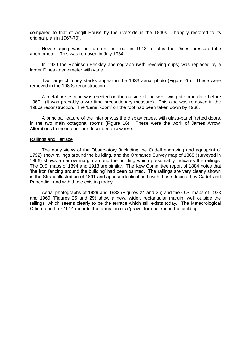compared to that of Asgill House by the riverside in the 1840s – happily restored to its original plan in 1967-70).

New staging was put up on the roof in 1913 to affix the Dines pressure-tube anemometer. This was removed in July 1934.

In 1930 the Robinson-Beckley anemograph (with revolving cups) was replaced by a larger Dines anemometer with vane.

Two large chimney stacks appear in the 1933 aerial photo (Figure 26). These were removed in the 1980s reconstruction.

A metal fire escape was erected on the outside of the west wing at some date before 1960. (It was probably a war-time precautionary measure). This also was removed in the 1980s reconstruction. The 'Lens Room' on the roof had been taken down by 1968.

A principal feature of the interior was the display cases, with glass-panel fretted doors, in the two main octagonal rooms (Figure 16). These were the work of James Arrow. Alterations to the interior are described elsewhere.

#### Railings and Terrace

The early views of the Observatory (including the Cadell engraving and aquaprint of 1792) show railings around the building, and the Ordnance Survey map of 1868 (surveyed in 1866) shows a narrow margin around the building which presumably indicates the railings. The O.S. maps of 1894 and 1913 are similar. The Kew Committee report of 1884 notes that 'the iron fencing around the building' had been painted. The railings are very clearly shown in the Strand illustration of 1891 and appear identical both with those depicted by Cadell and Papendiek and with those existing today.

Aerial photographs of 1929 and 1933 (Figures 24 and 26) and the O.S. maps of 1933 and 1960 (Figures 25 and 29) show a new, wider, rectangular margin, well outside the railings, which seems clearly to be the terrace which still exists today. The Meteorological Office report for 1914 records the formation of a 'gravel terrace' round the building.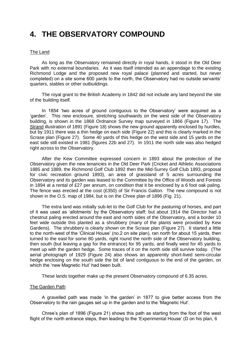### **4. THE OBSERVATORY COMPOUND**

#### The Land

As long as the Observatory remained directly in royal hands, it stood in the Old Deer Park with no external boundaries. As it was itself intended as an appendage to the existing Richmond Lodge and the proposed new royal palace (planned and started, but never completed) on a site some 600 yards to the north, the Observatory had no outside servants' quarters, stables or other outbuildings.

The royal grant to the British Academy in 1842 did not include any land beyond the site of the building itself.

In 1854 'two acres of ground contiguous to the Observatory' were acquired as a 'garden'. This new enclosure, stretching southwards on the west side of the Observatory building, is shown in the 1868 Ordnance Survey map surveyed in 1866 (Figure 17). The Strand illustration of 1891 (Figure 18) shows the new ground apparently enclosed by hurdles, but by 1911 there was a thin hedge on each side (Figure 22) and this is clearly marked in the Scrase plan (Figure 27). Some 40 yards of this hedge on the west side and 15 yards on the east side still existed in 1981 (figures 22b and 27). In 1911 the north side was also hedged right across to the Observatory.

After the Kew Committee expressed concern in 1893 about the protection of the Observatory given the new tenancies in the Old Deer Park (Cricket and Athletic Associations 1885 and 1889, the Richmond Golf Club 1892 then the Mid-Surrey Golf Club 1893, proposal for civic recreation ground 1893), an area of grassland of 5 acres surrounding the Observatory and its garden was leased to the Committee by the Office of Woods and Forests in 1894 at a rental of £27 per annum, on condition that it be enclosed by a 6 foot oak paling. The fence was erected at the cost (£350) of Sir Francis Galton. The new compound is not shown in the O.S. map of 1984, but is on the Chree plan of 1896 (Fig. 21).

The extra land was initially sub-let to the Golf Club for the pasturing of horses, and part of it was used as 'allotments' by the Observatory staff; but about 1914 the Director had a chestnut paling erected around the east and north sides of the Observatory, and a border 10 feet wide outside this planted as a shrubbery (many of the plants were provided by Kew Gardens). The shrubbery is clearly shown on the Scrase plan (Figure 27). It started a little to the north-west of the 'Clinical House' (no.2 on site plan), ran north for about 15 yards, then turned to the east for some 80 yards, right round the north side of the Observatory building, then south (but leaving a gap for the entrance) for 95 yards, and finally west for 45 yards to meet up with the garden hedge. Some traces of it on the north side still survive today. (The aerial photograph of 1929 (Figure 24) also shows an apparently short-lived semi-circular hedge enclosing on the south side the bit of land contiguous to the end of the garden, on which the 'new Magnetic Hut' had been built.

These lands together make up the present Observatory compound of 6.35 acres.

#### The Garden Path

A gravelled path was made 'in the garden' in 1877 to give better access from the Observatory to the rain gauges set up in the garden and to the 'Magnetic Hut'.

Chree's plan of 1896 (Figure 21) shows this path as starting from the foot of the west flight of the north entrance steps, then leading to the 'Experimental House' (D on his plan, 6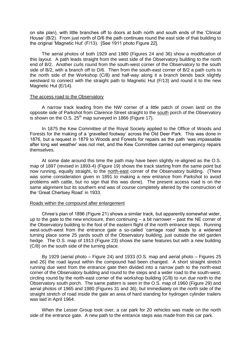on site plan), with little branches off to doors at both north and south ends of the 'Clinical House' (B/2). From just north of D/6 the path continues round the east side of that building to the original 'Magnetic Hut' (F/13). [See 1911 photo Figure 22].

The aerial photos of both 1929 and 1980 (Figures 24 and 36) show a modification of this layout. A path leads straight from the west side of the Observatory building to the north end of B/2. Another curls round from the south-west corner of the Observatory to the south side of B/2, with a branch off to D/6. Then from the south-east corner of B/2 a path curls to the north side of the Workshop (C/8) and half-way along it a branch bends back slightly westward to connect with the straight path to Magnetic Hut (F/13) and round it to the new Magnetic Hut (E/14).

#### The access road to the Observatory

A narrow track leading from the NW corner of a little patch of crown land on the opposite side of Parkshot from Clarence Street straight to the south porch of the Observatory is shown on the O.S.  $25<sup>th</sup>$  map surveyed in 1866 (Figure 17).

In 1875 the Kew Committee of the Royal Society applied to the Office of Woods and Forests for the making of a 'gravelled footway' across the Old Deer Park. This was done in 1876, but a request in 1879 to Woods and Forests for repairs as the path 'was impassable after long wet weather' was not met, and the Kew Committee carried out emergency repairs themselves.

At some date around this time the path may have been slightly re-aligned as the O.S. map of 1897 (revised in 1893-4) (Figure 19) shows the track starting from the same point but now running, equally straight, to the north-east corner of the Observatory building. (There was some consideration given in 1891 to making a new entrance from Parkshot to avoid problems with cattle, but no sign that this was done). The present access road is on the same alignment but its southern end was of course completely altered by the construction of the 'Great Chertsey Road' in 1933.

#### Roads within the compound after enlargement

Chree's plan of 1896 (Figure 21) shows a similar track, but apparently somewhat wider, up to the gate to the new enclosure, then continuing – a bit narrower – past the NE corner of the Observatory building to the foot of the eastern flight of the north entrance steps. Running west-south-west from the entrance gate a so-called 'carriage road' leads to a widened turning place some 25 yards south of the Observatory building, just outside the old garden hedge. The O.S. map of 1913 (Figure 23) shows the same features but with a new building (C/8) on the south side of the turning place.

By 1929 (aerial photo – Figure 24) and 1933 (O.S. map and aerial photo – Figures 25 and 26) the road layout within the compound had been changed. A short straight stretch running due west from the entrance gate then divided into a narrow path to the north-east corner of the Observatory building and round to the steps and a wider road to the south-west, circling round by the north-east corner of the workshop building (C/8) to run due north to the Observatory south porch. The same pattern is seen in the O.S. map of 1960 (Figure 29) and aerial photos of 1965 and 1980 (Figures 31 and 36), but immediately on the north side of the straight stretch of road inside the gate an area of hard standing for hydrogen cylinder trailers was laid in April 1964.

When the Lesser Group took over, a car park for 20 vehicles was made on the north side of the entrance gate. A new path to the entrance steps was made from this car park.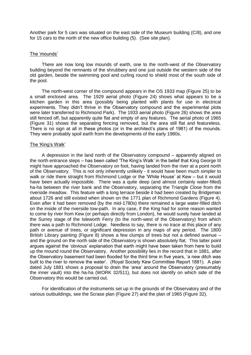Another park for 5 cars was situated on the east side of the Museum building (C/8), and one for 15 cars to the north of the new office building (5). (See site plan).

#### The 'mounds'

There are now long low mounds of earth, one to the north-west of the Observatory building beyond the remnants of the shrubbery and one just outside the western side of the old garden, beside the swimming pool and curling round to shield most of the south side of the pool.

The north-west corner of the compound appears in the OS 1933 map (Figure 25) to be a small enclosed area. The 1929 aerial photo (Figure 24) shows what appears to be a kitchen garden in this area (possibly being planted with plants for use in electrical experiments. They didn't thrive in the Observatory compound and the experimental plots were later transferred to Richmond Park). The 1933 aerial photo (Figure 26) shows the area still fenced off, but apparently quite flat and empty of any features. The aerial photo of 1965 (Figure 31) shows the separating fencing removed, but the area still flat and featureless. There is no sign at all in these photos (or in the architect's plans of 1981) of the mounds. They were probably spoil earth from the developments of the early 1980s.

#### The 'King's Walk'

A depression in the land north of the Observatory compound – apparently aligned on the north entrance steps – has been called 'The King's Walk' in the belief that King George III might have approached the Observatory on foot, having landed from the river at a point north of the Observatory. This is not only inherently unlikely - it would have been much simpler to walk or ride there straight from Richmond Lodge or the 'White House' at Kew – but it would have been actually impossible. There was a quite deep (and almost certainly water-filled) ha-ha between the river bank and the Observatory, separating the Triangle Close from the riverside meadow. This feature with a long terrace beside it had been created by Bridgeman about 1726 and still existed when shown on the 1771 plan of Richmond Gardens (Figure 4). Even after it had been removed (by the mid-1780s) there remained a large water-filled ditch on the inside of the riverside tow-path. In any case, if the King had for some reason wanted to come by river from Kew (or perhaps directly from London), he would surely have landed at the Surrey stage of the Isleworth Ferry (to the north-west of the Observatory) from which there was a path to Richmond Lodge. Needless to say, there is no trace at this place of any path or avenue of trees, or significant depression in any maps of any period. The 1800 British Library painting (Figure 8) shows a few clumps of trees but not a defined avenue – and the ground on the north side of the Observatory is shown absolutely flat. This latter point argues against the 'obvious' explanation that earth might have been taken from here to build up the mound round the Observatory. Another possibility lies in the record that in 1881, after the Observatory basement had been flooded for the third time in five years, 'a new ditch was built to the river to remove the water'. (Royal Society Kew Committee Report 1881). A plan dated July 1881 shows a proposal to drain the 'area' around the Observatory (presumably the inner vault) into the ha-ha (WORK 32/511), but does not identify on which side of the Observatory this would be carried out.

For identification of the instruments set up in the grounds of the Observatory and of the various outbuildings, see the Scrase plan (Figure 27) and the plan of 1965 (Figure 32).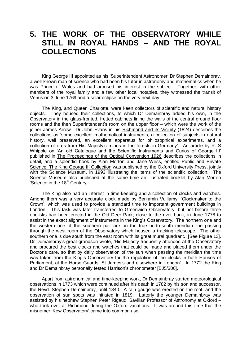### **5. THE WORK OF THE OBSERVATORY WHILE STILL IN ROYAL HANDS – AND THE ROYAL COLLECTIONS**

King George III appointed as his 'Superintendent Astronomer' Dr Stephen Demainbray, a well-known man of science who had been his tutor in astronomy and mathematics when he was Prince of Wales and had aroused his interest in the subject. Together, with other members of the royal family and a few other local notables, they witnessed the transit of Venus on 3 June 1769 and a solar eclipse on the very next day.

The King, and Queen Charlotte, were keen collectors of scientific and natural history objects. They housed their collections, to which Dr Demainbray added his own, in the Observatory in the glass-fronted, fretted cabinets lining the walls of the central ground floor rooms and the then Superintendent's room on the upper floor – which were the work of the joiner James Arrow. Dr John Evans in his Richmond and its Vicinity (1824) describes the collections as 'some excellent mathematical instruments, a collection of subjects in natural history, well preserved, an excellent apparatus for philosophical experiments, and a collection of ores from His Majesty's mines in the forests in Germany'. An article by R. S Whipple on 'An old Catalogue and the Scientific Instruments and Curios of George III' published in The Proceedings of the Optical Convention 1926 describes the collections in detail, and a splendid book by Alan Morton and Jane Wess, entitled Public and Private Science: The King George III Collection was published by the Oxford University Press, jointly with the Science Museum, in 1993 illustrating the items of the scientific collection. The Science Museum also published at the same time an illustrated booklet by Alan Morton 'Science in the 18<sup>th</sup> Century'.

The King also had an interest in time-keeping and a collection of clocks and watches. Among them was a very accurate clock made by Benjamin Vulliamy, 'Clockmaker to the Crown', which was used to provide a standard time to important government buildings in London. This task was later transferred to Greenwich Observatory, but not before three obelisks had been erected in the Old Deer Park, close to the river bank, in June 1778 to assist in the exact alignment of instruments in the King's Observatory. The northern one and the western one of the southern pair are on the true north-south meridian line passing through the west room of the Observatory which housed a tracking telescope. The other southern one is due south from the east room with its great mural quadrant. [See Figure 13]. Dr Demainbray's great-grandson wrote, 'His Majesty frequently attended at the Observatory and procured the best clocks and watches that could be made and placed them under the Doctor's care, so that by daily observation of the sun when passing the meridian the time was taken from the King's Observatory for the regulation of the clocks in both Houses of Parliament, at the Horse Guards, St James's and elsewhere in London'. In 1772 the King and Dr Demainbray personally tested Harrison's chronometer [BJ5/306].

Apart from astronomical and time-keeping work, Dr Demainbray started meteorological observations in 1773 which were continued after his death in 1782 by his son and successor, the Revd. Stephen Demainbray, until 1840. A rain gauge was erected on the roof; and the observation of sun spots was initiated in 1819. Latterly the younger Demainbray was assisted by his nephew Stephen Peter Rigaud, Savilian Professor of Astronomy at Oxford – who took over at Richmond during the Oxford vacations. It was around this time that the misnomer 'Kew Observatory' came into common use.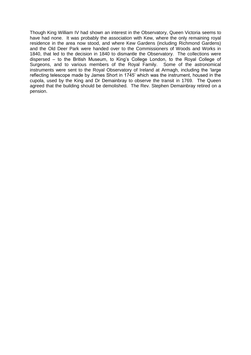Though King William IV had shown an interest in the Observatory, Queen Victoria seems to have had none. It was probably the association with Kew, where the only remaining royal residence in the area now stood, and where Kew Gardens (including Richmond Gardens) and the Old Deer Park were handed over to the Commissioners of Woods and Works in 1840, that led to the decision in 1840 to dismantle the Observatory. The collections were dispersed – to the British Museum, to King's College London, to the Royal College of Surgeons, and to various members of the Royal Family. Some of the astronomical instruments were sent to the Royal Observatory of Ireland at Armagh, including the 'large reflecting telescope made by James Short in 1745' which was the instrument, housed in the cupola, used by the King and Dr Demainbray to observe the transit in 1769. The Queen agreed that the building should be demolished. The Rev. Stephen Demainbray retired on a pension.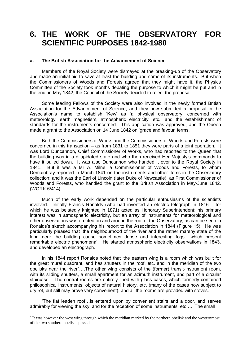### **6. THE WORK OF THE OBSERVATORY FOR SCIENTIFIC PURPOSES 1842-1980**

#### **a. The British Association for the Advancement of Science**

Members of the Royal Society were dismayed at the breaking-up of the Observatory and made an initial bid to save at least the building and some of its instruments. But when the Commissioners of Woods and Forests agreed that they might have it, the Physics Committee of the Society took months debating the purpose to which it might be put and in the end, in May 1842, the Council of the Society decided to reject the proposal.

Some leading Fellows of the Society were also involved in the newly formed British Association for the Advancement of Science, and they now submitted a proposal in the Association's name to establish 'Kew' as 'a physical observatory' concerned with meteorology, earth magnetism, atmospheric electricity, etc., and the establishment of standards for the instruments concerned. This application was approved, and the Queen made a grant to the Association on 14 June 1842 on 'grace and favour' terms.

Both the Commissioners of Works and the Commissioners of Woods and Forests were concerned in this transaction – as from 1831 to 1851 they were parts of a joint operation. It was Lord Duncannon, Chief Commissioner of Works, who had reported to the Queen that the building was in a dilapidated state and who then received Her Majesty's commands to have it pulled down. It was also Duncannon who handed it over to the Royal Society in 1841. But it was a Mr A. Milne, a Commissioner of Woods and Forests, to whom Demainbray reported in March 1841 on the instruments and other items in the Observatory collection; and it was the Earl of Lincoln (later Duke of Newcastle), as First Commissioner of Woods and Forests, who handled the grant to the British Association in May-June 1842. (WORK 6/414).

Much of the early work depended on the particular enthusiasms of the scientists involved. Initially Francis Ronalds (who had invented an electric telegraph in 1816 – for which he was belatedly knighted in 1871) acted as Honorary Superintendent; his primary interest was in atmospheric electricity, but an array of instruments for meteorological and other observations was erected on and around the roof of the Observatory, as can be seen in Ronalds's sketch accompanying his report to the Association in 1844 (Figure 15). He was particularly pleased that 'the neighbourhood of the river and the rather marshy state of the land near the building cause sometimes dense and interesting fogs….which present remarkable electric phenomena'. He started atmospheric electricity observations in 1843, and developed an electrograph.

In his 1844 report Ronalds noted that 'the eastern wing is a room which was built for the great mural quadrant, and has shutters in the roof, etc. and in the meridian of the two obelisks near the river….The other wing consists of the (former) transit-instrument room, with its sliding shutters, a small apartment for an azimuth instrument, and part of a circular staircase….The central rooms are entirely lined with glass cases, which formerly contained philosophical instruments, objects of natural history, etc. (many of the cases now subject to dry rot, but still may prove very convenient), and all the rooms are provided with stoves.

'The flat leaden roof…is entered upon by convenient stairs and a door, and serves admirably for viewing the sky, and for the reception of some instruments, etc…. The small

<sup>&</sup>lt;sup>\*</sup> It was however the west wing through which the meridian marked by the northern obelisk and the westernmost of the two southern obelisks passed.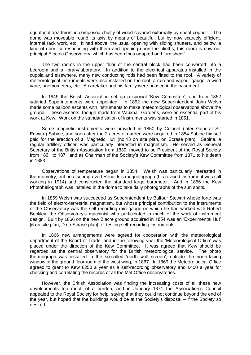equatorial apartment is composed chiefly of wood covered externally by sheet copper….The dome was moveable round its axis by means of beautiful, but by now scarcely efficient, internal rack work, etc. It had above, the usual opening with sliding shutters, and below, a kind of door, corresponding with them and opening upon the plinths; this room is now our principal Electric Observatory, which has been thus adapted and furnished.'

The two rooms in the upper floor of the central block had been converted into a bedroom and a library/laboratory. In addition to the electrical apparatus installed in the cupola and elsewhere, many new conducting rods had been fitted to the roof. A variety of meteorological instruments were also installed on the roof: a rain and vapour gauge, a wind vane, anemometers, etc. A caretaker and his family were housed in the basement.

In 1849 the British Association set up a special 'Kew Committee', and from 1852 salaried Superintendents were appointed. In 1852 the new Superintendent John Welsh made some balloon ascents with instruments to make meteorological observations above the ground. These ascents, though made from Vauxhall Gardens, were an essential part of his work at Kew. Work on the standardisation of instruments was started in 1851.

Some magnetic instruments were provided in 1850 by Colonel (later General Sir Edward) Sabine, and soon after the 2 acres of garden were acquired in 1854 Sabine himself paid for the erection of a 'Magnetic Hut' (no.13 on site plan, on Scrase plan). Sabine, a regular artillery officer, was particularly interested in magnetism. He served as General Secretary of the British Association from 1839, moved to be President of the Royal Society from 1861 to 1871 and as Chairman of the Society's Kew Committee from 1871 to his death in 1883.

Observations of temperature began in 1854. Welsh was particularly interested in thermometry, but he also improved Ronalds's magnetograph (his revised instrument was still working in 1914) and constructed the standard large barometer. And in 1856 the Kew Photoheliograph was installed in the dome to take daily photographs of the sun spots.

In 1859 Welsh was succeeded as Superintendent by Balfour Stewart whose forte was the field of electro-terrestrial magnetism, but whose principal contribution to the instruments of the Observatory was the self-recording rain gauge on which he had worked with Robert Beckley, the Observatory's machinist who participated in much of the work of instrument design. Built by 1866 on the new 2 acre ground acquired in 1854 was an 'Experimental Hut' [6 on site plan, D on Scrase plan] for testing self-recording instruments.

In 1866 new arrangements were agreed for cooperation with the meteorological department of the Board of Trade, and in the following year the 'Meteorological Office' was placed under the direction of the Kew Committee. It was agreed that Kew should be regarded as the central observatory for the British meteorological service. The photo thermograph was installed in the so-called 'north wall screen', outside the north-facing window of the ground floor room of the west wing, in 1867. In 1869 the Meteorological Office agreed to grant to Kew £250 a year as a self-recording observatory and £400 a year for checking and correlating the records of all the Met Office observatories.

However, the British Association was finding the increasing costs of all these new developments too much of a burden, and in January 1871 the Association's Council appealed to the Royal Society for help, saying that they could not continue beyond the end of the year, but hoped that the buildings would be at the Society's disposal – if the Society so desired.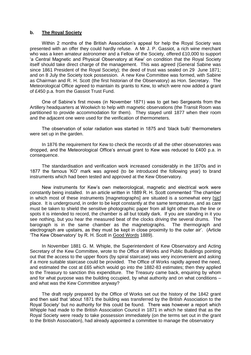#### **b. The Royal Society**

Within 2 months of the British Association's appeal for help the Royal Society was presented with an offer they could hardly refuse. A Mr J. P. Gassiot, a rich wine merchant who was a keen amateur astronomer and a Fellow of the Society, offered £10,000 to support 'a Central Magnetic and Physical Observatory at Kew' on condition that the Royal Society itself should take direct charge of the management. This was agreed (General Sabine was since 1861 President of the Royal Society); the deed of trust was sealed on 29 June 1871; and on 8 July the Society took possession. A new Kew Committee was formed, with Sabine as Chairman and R. H. Scott (the first historian of the Observatory) as Hon. Secretary. The Meteorological Office agreed to maintain its grants to Kew, to which were now added a grant of £450 p.a. from the Gassiot Trust Fund.

One of Sabine's first moves (in November 1871) was to get two Sergeants from the Artillery headquarters at Woolwich to help with magnetic observations (the Transit Room was partitioned to provide accommodation for them). They stayed until 1877 when their room and the adjacent one were used for the verification of thermometers.

The observation of solar radiation was started in 1875 and 'black bulb' thermometers were set up in the garden.

In 1876 the requirement for Kew to check the records of all the other observatories was dropped, and the Meteorological Office's annual grant to Kew was reduced to £400 p.a. in consequence.

The standardisation and verification work increased considerably in the 1870s and in 1877 the famous 'KO' mark was agreed (to be introduced the following year) to brand instruments which had been tested and approved at the Kew Observatory.

New instruments for Kew's own meteorological, magnetic and electrical work were constantly being installed. In an article written in 1889 R. H. Scott commented 'The chamber in which most of these instruments [magnetographs] are situated is a somewhat eery [sic] place. It is underground, in order to be kept constantly at the same temperature, and as care must be taken to shield the sensitive photographic paper from all light other than the line or spots it is intended to record, the chamber is all but totally dark. If you are standing in it you see nothing, but you hear the measured beat of the clocks driving the several drums. The barograph is in the same chamber as the magnetographs. The thermograph and electrograph are upstairs, as they must be kept in close proximity to the outer air'. (Article 'The Kew Observatory' by R. H. Scott in Good Words 1889).

In November 1881 G. M. Whiple, the Superintendent of Kew Observatory and Acting Secretary of the Kew Committee, wrote to the Office of Works and Public Buildings pointing out that the access to the upper floors (by spiral staircase) was very inconvenient and asking if a more suitable staircase could be provided. The Office of Works rapidly agreed the need, and estimated the cost at £65 which would go into the 1882-83 estimates; then they applied to the Treasury to sanction this expenditure. The Treasury came back, enquiring by whom and for what purpose was the building occupied, by what authority and on what conditions – and what was the Kew Committee anyway?

The draft reply prepared by the Office of Works set out the history of the 1842 grant and then said that 'about 1871 the building was transferred by the British Association to the Royal Society' but no authority for this could be found. There was however a report which Whipple had made to the British Association Council in 1871 in which he stated that as the Royal Society were ready to take possession immediately (on the terms set out in the grant to the British Association), had already appointed a committee to manage the observatory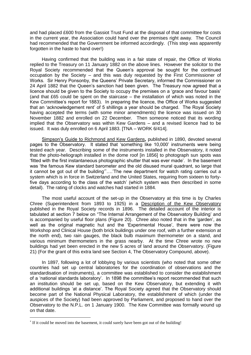and had placed £600 from the Gassiot Trust Fund at the disposal of that committee for costs in the current year, the Association could hand over the premises right away. The Council had recommended that the Government be informed accordingly. (This step was apparently forgotten in the haste to hand over!)

Having confirmed that the building was in a fair state of repair, the Office of Works replied to the Treasury on 11 January 1882 on the above lines. However the solicitor to the Royal Society recommended that the Queen's approval be sought for the continued occupation by the Society – and this was duly requested by the First Commissioner of Works. Sir Henry Ponsonby, the Queens' Private Secretary, informed the Commissioner on 24 April 1882 that the Queen's sanction had been given. The Treasury now agreed that a licence should be given to the Society to occupy the premises on a 'grace and favour basis' (and that £65 could be spent on the staircase – the installation of which was noted in the Kew Committee's report for 1883). In preparing the licence, the Office of Works suggested that an 'acknowledgement rent' of 5 shillings a year should be charged. The Royal Society having accepted the terms (with some minor amendments) the licence was issued on 30 November 1882 and enrolled on 22 December. Then someone noticed that its wording implied that the Observatory was within Kew Gardens – and a revised licence had to be issued. It was duly enrolled on 6 April 1883. [TNA – WORK 6/414].

Simpson's Guide to Richmond and Kew Gardens**,** published in 1890, devoted several pages to the Observatory. It stated that 'something like 10,000' instruments were being tested each year. Describing some of the instruments installed in the Observatory, it noted that the photo-heliograph installed in the dome roof [in 1856] to photograph sun spots was 'fitted with the first instantaneous photographic shutter that was ever made'. In the basement was 'the famous Kew standard barometer and the old disused mural quadrant, so large that it cannot be got out of the building'….'The new department for watch rating carries out a system which is in force in Switzerland and the United States, requiring from sixteen to fortyfive days according to the class of the watch' (which system was then described in some detail). The rating of clocks and watches had started in 1884.

The most useful account of the set-up in the Observatory at this time is by Charles Chree (Superintendent from 1893 to 1925) in a Description of the Kew Observatory published in the Royal Society records in 1896. The detailed account of the interior is tabulated at section 7 below on "The Internal Arrangement of the Observatory Building' and is accompanied by useful floor plans (Figure 20). Chree also noted that in the 'garden', as well as the original magnetic hut and the 'Experimental House', there were now the Workshop and Clinical House (both brick buildings under one roof, with a further extension at the north end), two rain gauges, the black bulb maximum thermometer on a stand, and various minimum thermometers in the grass nearby. At the time Chree wrote no new buildings had yet been erected in the new 5 acres of land around the Observatory. (Figure 21) (For the grant of this extra land see Section 4, The Observatory Compound, above).

In 1897, following a lot of lobbying by various scientists (who noted that some other countries had set up central laboratories for the coordination of observations and the standardisation of instruments), a committee was established to consider the establishment of a 'national standards laboratory'. In 1898 the committee's report recommended that such an institution should be set up, based on the Kew Observatory, but extending it with additional buildings 'at a distance'. The Royal Society agreed that the Observatory should become part of the National Physical Laboratory, the establishment of which (under the auspices of the Society) had been approved by Parliament, and proposed to hand over the Observatory to the N.P.L. on 1 January 1900. The Kew Committee was formally wound up on that date.

 $\overline{a}$ 

<sup>&</sup>lt;sup>\*</sup> If it could be moved into the basement, it could surely have been got out of the building!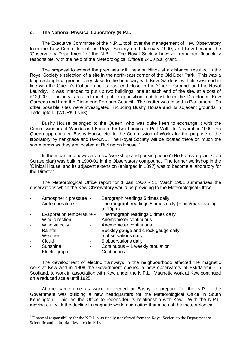#### **c. The National Physical Laboratory (N.P.L.)**

The Executive Committee of the N.P.L. took over the management of Kew Observatory from the Kew Committee of the Royal Society on 1 January 1900, and Kew became the 'Observatory Department' of the N.P.L. The Royal Society however remained financially responsible, with the help of the Meteorological Office's £400 p.a. grant.

The proposal to extend the premises with 'new buildings at a distance' resulted in the Royal Society's selection of a site in the north-east corner of the Old Deer Park. This was a long rectangle of ground, very close to the boundary with Kew Gardens, with its west end in line with the Queen's Cottage and its east end close to the 'Cricket Ground' and the Royal Laundry. It was intended to put up two buildings, one at each end of the site, at a cost of £12,000. The idea aroused much public opposition, not least from the Director of Kew Gardens and from the Richmond Borough Council. The matter was raised in Parliament. So other possible sites were investigated, including Bushy House and its adjacent grounds in Teddington. (WORK 17/63).

Bushy House belonged to the Queen, who was quite keen to exchange it with the Commissioners of Woods and Forests for two houses in Pall Mall. In November 1900 'the Queen appropriated Bushy House etc. to the Commission of Works for the purpose of the laboratory by her grace and favour…. The Royal Society will be located there on much the same terms as they are located at Burlington House'.\*

In the meantime however a new 'workshop and packing house' (No.8 on site plan, C on Scrase plan) was built in 1900-01 in the Observatory compound. The former workshop in the 'Clinical House' and its adjacent extension (enlarged in 1897) was to become a laboratory for the Director.

The Meteorological Office report for 1 Jan 1900 - 31 March 1901 summarises the observations which the Kew Observatory would be providing to the Meteorological Office:-

| $\overline{\phantom{a}}$ | Atmospheric pressure -    |                          | Barograph readings 5 times daily                                    |
|--------------------------|---------------------------|--------------------------|---------------------------------------------------------------------|
| $\overline{\phantom{a}}$ | Air temperature           | $\blacksquare$           | Thermograph readings 5 times daily (+ min/max reading<br>at $10pm)$ |
| $\overline{\phantom{a}}$ | Evaporation temperature - |                          | Thermograph readings 5 times daily                                  |
| $\blacksquare$           | Wind direction            | $\overline{\phantom{a}}$ | Anemometer continuous                                               |
| $\overline{\phantom{a}}$ | Wind velocity             | ٠                        | Anemometer continuous                                               |
| $\overline{\phantom{a}}$ | Rainfall                  | $\overline{\phantom{a}}$ | Beckley gauge and check gauge daily                                 |
| $\overline{\phantom{a}}$ | Weather                   | -                        | 5 observations daily                                                |
| $\overline{\phantom{a}}$ | Cloud                     | -                        | 5 observations daily                                                |
| $\overline{\phantom{a}}$ | Sunshine                  | -                        | Continuous - 1 weekly tabulation                                    |
| $\blacksquare$           | Electrograph              |                          | Continuous                                                          |
|                          |                           |                          |                                                                     |

The development of electric tramways in the neighbourhood affected the magnetic work at Kew and in 1908 the Government opened a new observatory at Eskdalemuir in Scotland, to work in association with Kew under the N.P.L. Magnetic work at Kew continued on a reduced scale until 1925.

At the same time as work proceeded at Bushy to prepare for the N.P.L., the Government was building a new headquarters for the Meteorological Office in South Kensington. This led the Office to reconsider its relationship with Kew. With the N.P.L. moving out, with the decline in magnetic work, and noting that much of the meteorological

Financial responsibility for the N.P.L. was finally transferred from the Royal Society to the Department of Scientific and Industrial Research in 1918.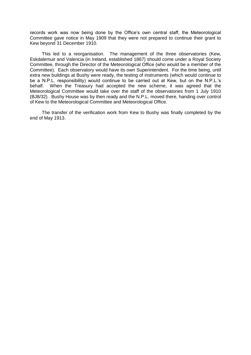records work was now being done by the Office's own central staff, the Meteorological Committee gave notice in May 1909 that they were not prepared to continue their grant to Kew beyond 31 December 1910.

This led to a reorganisation. The management of the three observatories (Kew, Eskdalemuir and Valencia (in Ireland, established 1867) should come under a Royal Society Committee, through the Director of the Meteorological Office (who would be a member of the Committee). Each observatory would have its own Superintendent. For the time being, until extra new buildings at Bushy were ready, the testing of instruments (which would continue to be a N.P.L. responsibility) would continue to be carried out at Kew, but on the N.P.L.'s behalf. When the Treasury had accepted the new scheme, it was agreed that the Meteorological Committee would take over the staff of the observatories from 1 July 1910 (BJ8/32). Bushy House was by then ready and the N.P.L. moved there, handing over control of Kew to the Meteorological Committee and Meteorological Office.

The transfer of the verification work from Kew to Bushy was finally completed by the end of May 1913.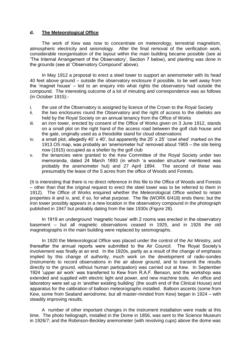#### **d. The Meteorological Office**

The work of Kew was now to concentrate on meteorology, terrestrial magnetism, atmospheric electricity and seismology. After the final removal of the verification work, considerable reorganisation of the layout within the main building became possible (see at 'The Internal Arrangement of the Observatory', Section 7 below), and planting was done in the grounds (see at 'Observatory Compound' above).

In May 1912 a proposal to erect a steel tower to support an anemometer with its head 40 feet above ground – outside the observatory enclosure if possible, to be well away from the 'magnet house' – led to an enquiry into what rights the observatory had outside the compound. The interesting outcome of a lot of minuting and correspondence was as follows (in October 1915):-

- i. the use of the Observatory is assigned by licence of the Crown to the Royal Society
- ii. the two enclosures round the Observatory and the right of access to the obelisks are held by the Royal Society on an annual tenancy from the Office of Works
- iii. an iron tower, erected by consent of the Office of Works given on 3 June 1912, stands on a small plot on the right hand of the access road between the golf club house and the gate, originally used as a theodolite stand for cloud observations
- iv. a small plot, allegedly 40' x 40', but apparently the 25' x 25' 'cowl shed' marked on the 1913 OS map, was probably an 'anemometer hut' removed about 1905 – the site being now (1915) occupied as a shelter by the golf club
- v. the tenancies were granted to the Kew Committee of the Royal Society under two memoranda, dated 24 March 1893 (in which 'a wooden structure' mentioned was probably the anemometer hut) and 27 April 1894. The second of these was presumably the lease of the 5 acres from the office of Woods and Forests.

(It is interesting that there is no direct reference in this file to the Office of Woods and Forests – other than that the original request to erect the steel tower was to be referred to them in 1912). The Office of Works enquired whether the Meteorological Office wished to retain properties iii and iv, and, if so, for what purpose. The file (WORK 6/418) ends there; but the iron tower possibly appears in a new location in the observatory compound in the photograph published in 1947 but probably dating from the late 1930s (Figure 28).

In 1919 an underground 'magnetic house' with 2 rooms was erected in the observatory basement – but all magnetic observations ceased in 1925, and in 1926 the old magnetographs in the main building were replaced by seismographs.

In 1920 the Meteorological Office was placed under the control of the Air Ministry, and thereafter the annual reports were submitted to the Air Council. The Royal Society's involvement was finally at an end. In the 1920s, partly as a result of the change of emphasis implied by this change of authority, much work on the development of radio-sondes (instruments to record observations in the air above ground, and to transmit the results directly to the ground, without human participation) was carried out at Kew. In September 1924 'upper air work' was transferred to Kew from R.A.F. Benson, and the workshop was extended and supplied with electric light and power, and new machine tools. An office and laboratory were set up in 'another existing building' (the south end of the Clinical House) and apparatus for the calibration of balloon meteorographs installed. Balloon ascents (some from Kew, some from Sealand aerodrome, but all master-minded from Kew) began in 1924 – with steadily improving results.

A number of other important changes in the instrument installation were made at this time. The photo heliograph, installed in the Dome in 1856, was sent to the Science Museum in 1926/7; and the Robinson-Beckley anemometer (with revolving cups) above the dome was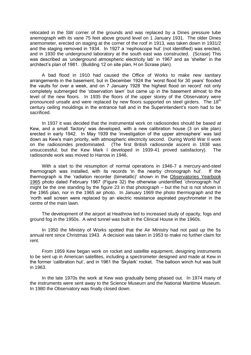relocated in the SW corner of the grounds and was replaced by a Dines pressure tube anemograph with its vane 75 feet above ground level on 1 January 1931. The older Dines anemometer, erected on staging at the corner of the roof in 1913, was taken down in 1931/2 and the staging removed in 1934. In 1927 a 'nephoscope hut' (not identified) was erected, and in 1930 the underground laboratory at the south east was constructed. (Scrase) This was described as 'underground atmospheric electricity lab' in 1967 and as 'shelter' in the architect's plan of 1981. (Building 12 on site plan, H on Scrase plan).

A bad flood in 1910 had caused the Office of Works to make new sanitary arrangements in the basement, but in December 1924 the 'worst flood for 30 years' flooded the vaults for over a week, and on 7 January 1928 'the highest flood on record' not only completely submerged the 'observation lawn' but came up in the basement almost to the level of the new floors. In 1935 the floors of the upper storey of the Observatory were pronounced unsafe and were replaced by new floors supported on steel girders. The 18<sup>th</sup> century ceiling mouldings in the entrance hall and in the Superintendent's room had to be sacrificed.

In 1937 it was decided that the instrumental work on radiosondes should be based at Kew, and a small 'factory' was developed, with a new calibration house (3 on site plan) erected in early 1942. In May 1939 the 'investigation of the upper atmosphere' was laid down as Kew's main priority, with atmospheric electricity second. During World War II work on the radiosondes predominated. (The first British radiosonde ascent in 1938 was unsuccessful, but the Kew Mark I developed in 1939-41 proved satisfactory). The radiosonde work was moved to Harrow in 1946.

With a start to the resumption of normal operations in 1946-7 a mercury-and-steel thermograph was installed, with its records 'in the nearby chronograph hut'. If the thermograph is the 'radiation recorder (bimetallic)' shown in the Observatories Yearbook 1965 photo dated February 1967 (Figure 32) the otherwise unidentified 'chronograph hut' might be the one standing by the figure 23 in that photograph – but the hut is not shown in the 1965 plan, nor in the 1965 air photo. In January 1969 the photo thermograph and the 'north wall screen were replaced by an electric resistance aspirated psychrometer in the centre of the main lawn.

The development of the airport at Heathrow led to increased study of opacity, fogs and ground fog in the 1950s. A wind tunnel was built in the Clinical House in the 1960s.

In 1950 the Ministry of Works spotted that the Air Ministry had not paid up the 5s annual rent since Christmas 1943. A decision was taken in 1953 to make no further claim for rent.

From 1959 Kew began work on rocket and satellite equipment, designing instruments to be sent up in American satellites, including a spectrometer designed and made at Kew in the former 'calibration hut', and in 1961 the 'Skylark' rocket. The balloon winch hut was built in 1963.

In the late 1970s the work at Kew was gradually being phased out. In 1974 many of the instruments were sent away to the Science Museum and the National Maritime Museum. In 1980 the Observatory was finally closed down.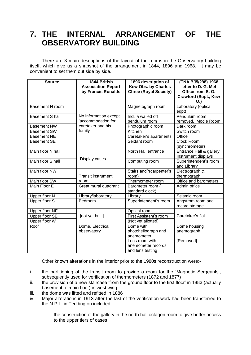### **7. THE INTERNAL ARRANGEMENT OF THE OBSERVATORY BUILDING**

There are 3 main descriptions of the layout of the rooms in the Observatory building itself, which give us a snapshot of the arrangement in 1844, 1896 and 1968. It may be convenient to set them out side by side.

| <b>Source</b>          | 1844 British<br><b>Association Report</b> | 1896 description of<br><b>Kew Obs. by Charles</b> | (TNA BJ5/298) 1968<br>letter to D. G. Met |  |
|------------------------|-------------------------------------------|---------------------------------------------------|-------------------------------------------|--|
|                        | by Francis Ronalds                        | <b>Chree (Royal Society)</b>                      | Office from S. G.                         |  |
|                        |                                           |                                                   | <b>Crawford (Supt., Kew</b>               |  |
|                        |                                           |                                                   | O.                                        |  |
| <b>Basement N room</b> |                                           | Magnetograph room                                 | Laboratory (optical                       |  |
|                        |                                           |                                                   | eqpt)                                     |  |
| <b>Basement S hall</b> | No information except                     | Incl. a walled off                                | Pendulum room                             |  |
|                        | 'accommodation for                        | pendulum room                                     | removed. Modle Room                       |  |
| <b>Basement NW</b>     | caretaker and his                         | Photographic room                                 | Dark room                                 |  |
| <b>Basement SW</b>     | family'                                   | Kitchen                                           | Switch room                               |  |
| <b>Basement NE</b>     |                                           | Caretaker's apartments                            | Office                                    |  |
| <b>Basement SE</b>     |                                           | Sextant room                                      | <b>Clock Room</b>                         |  |
|                        |                                           |                                                   | (synchrometer)                            |  |
| Main floor N hall      |                                           | North Hall entrance                               | Entrance Hall & gallery                   |  |
|                        | Display cases                             |                                                   | Instrument displays                       |  |
| Main floor S hall      |                                           | Computing room                                    | Superintendent's room                     |  |
|                        |                                           |                                                   | and Library                               |  |
| Main floor NW          |                                           | Stairs and?(carpenter's                           | Electrograph &                            |  |
|                        | <b>Transit instrument</b>                 | room)                                             | thermograph                               |  |
| Main floor SW          | room                                      | Thermometer room                                  | Office and barometers                     |  |
| Main Floor E           | Great mural quadrant                      | Barometer room (+                                 | Admin office                              |  |
|                        |                                           | standard clock)                                   |                                           |  |
| Upper floor N          | Library/laboratory                        | Library                                           | Seismic room                              |  |
| Upper floor S          | Bedroom                                   | Superintendent's room                             | Angstrom room and                         |  |
|                        |                                           |                                                   | record storage                            |  |
| Upper floor NE         |                                           | Optical room                                      |                                           |  |
| Upper floor SE         | [not yet built]                           | First Assistant's room                            | Caretaker's flat                          |  |
| Upper floor W          |                                           | (Not yet allotted)                                |                                           |  |
| Roof                   | Dome, Electrical                          | Dome with                                         | Dome housing                              |  |
|                        | observatory                               | photoheliograph and                               | anemograph                                |  |
|                        |                                           | anemometer                                        |                                           |  |
|                        |                                           | Lens room with                                    | [Removed]                                 |  |
|                        |                                           | anemometer records                                |                                           |  |
|                        |                                           | and lens testing                                  |                                           |  |

Other known alterations in the interior prior to the 1980s reconstruction were:-

- i. the partitioning of the transit room to provide a room for the 'Magnetic Sergeants', subsequently used for verification of thermometers (1872 and 1877)
- ii. the provision of a new staircase 'from the ground floor to the first floor' in 1883 (actually basement to main floor) in west wing
- iii. the dome was lifted and refitted in 1886
- iv. Major alterations in 1913 after the last of the verification work had been transferred to the N.P.L. in Teddington included:
	- the construction of the gallery in the north hall octagon room to give better access to the upper tiers of cases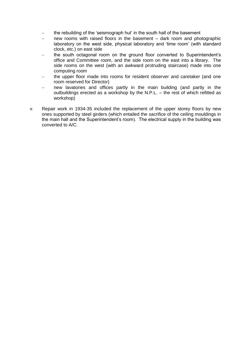- the rebuilding of the 'seismograph hut' in the south hall of the basement
- new rooms with raised floors in the basement dark room and photographic laboratory on the west side, physical laboratory and 'time room' (with standard clock, etc.) on east side
- the south octagonal room on the ground floor converted to Superintendent's office and Committee room, and the side room on the east into a library. The side rooms on the west (with an awkward protruding staircase) made into one computing room
- the upper floor made into rooms for resident observer and caretaker (and one room reserved for Director)
- new lavatories and offices partly in the main building (and partly in the outbuildings erected as a workshop by the N.P.L. – the rest of which refitted as workshop)
- v. Repair work in 1934-35 included the replacement of the upper storey floors by new ones supported by steel girders (which entailed the sacrifice of the ceiling mouldings in the main hall and the Superintendent's room). The electrical supply in the building was converted to A/C.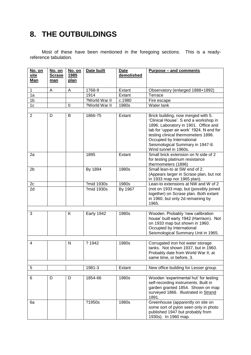## **8. THE OUTBUILDINGS**

Most of these have been mentioned in the foregoing sections. This is a readyreference tabulation.

| No. on<br>site<br>Man | No. on<br><b>Scrase</b><br>man | No. on<br>1985<br><u>plan</u> | Date built        | <b>Date</b><br>demolished | <b>Purpose – and comments</b>                                                                                                                                                                                                                                                                    |
|-----------------------|--------------------------------|-------------------------------|-------------------|---------------------------|--------------------------------------------------------------------------------------------------------------------------------------------------------------------------------------------------------------------------------------------------------------------------------------------------|
| $\mathbf{1}$          | A                              | A                             | 1768-9            | Extant                    | Observatory (enlarged 1888+1892)                                                                                                                                                                                                                                                                 |
| 1a                    |                                |                               | 1914              | Extant                    | Terrace                                                                                                                                                                                                                                                                                          |
| 1 <sub>b</sub>        |                                |                               | ?World War II     | $\overline{c.1980}$       | Fire escape                                                                                                                                                                                                                                                                                      |
| 1c                    |                                | 0                             | ?World War II     | 1980s                     | Water tank                                                                                                                                                                                                                                                                                       |
|                       |                                |                               |                   |                           |                                                                                                                                                                                                                                                                                                  |
| $\overline{2}$        | D                              | B                             | 1866-75           | Extant                    | Brick building, now merged with 5.<br>'Clinical House'. S end a workshop in<br>1896. Laboratory in 1901. Office and<br>lab for 'upper air work' 1924. N end for<br>testing clinical thermometers 1896.<br>Occupied by International<br>Seismological Summary in 1947-8.<br>Wind tunnel in 1960s. |
| 2a                    |                                |                               | 1895              | Extant                    | Small brick extension on N side of 2<br>for testing platinum resistance<br>thermometers (1896)                                                                                                                                                                                                   |
| 2 <sub>b</sub>        |                                |                               | By 1894           | 1980s                     | Small lean-to at SW end of 2.<br>(Appears larger in Scrase plan, but not<br>in 1933 map nor 1965 plan).                                                                                                                                                                                          |
| 2c                    |                                |                               | ?mid 1930s        | 1980s                     | Lean-to extensions at NW and W of 2                                                                                                                                                                                                                                                              |
| 2d                    |                                |                               | ?mid 1930s        | By 1967                   | (not on 1933 map, but (possibly joined<br>together) on Scrase plan. Both extant<br>in 1960, but only 2d remaining by<br>1965.                                                                                                                                                                    |
|                       |                                |                               |                   |                           |                                                                                                                                                                                                                                                                                                  |
| 3                     |                                | K.                            | <b>Early 1942</b> | 1980s                     | Wooden. Probably 'new calibration<br>house' built early 1942 (Harrison). Not<br>on 1933 map but shown in 1960.<br>Occupied by International<br>Seismological Summary Unit in 1965.                                                                                                               |
| 4                     |                                | N                             | ? 1942            | 1980s                     | Corrugated iron hot water storage                                                                                                                                                                                                                                                                |
|                       |                                |                               |                   |                           | tanks. Not shown 1937, but in 1960.<br>Probably date from World War II; at<br>same time, or before, 3.                                                                                                                                                                                           |
|                       |                                |                               |                   |                           |                                                                                                                                                                                                                                                                                                  |
| 5                     |                                |                               | 1981-3            | Extant                    | New office building for Lesser group.                                                                                                                                                                                                                                                            |
|                       |                                |                               |                   |                           |                                                                                                                                                                                                                                                                                                  |
| 6                     | D                              | D                             | 1854-66           | 1980s                     | Wooden 'experimental hut' for testing<br>self-recording instruments. Built in<br>garden granted 1854. Shown on map<br>surveyed 1866. Illustrated in Strand<br>1891.                                                                                                                              |
| 6a                    |                                |                               | ?1950s            | 1980s                     | Greenhouse (apparently on site on<br>some sort of pylon seen only in photo<br>published 1947 but probably from<br>1930s). In 1960 map.                                                                                                                                                           |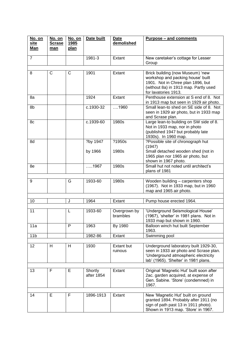| No. on<br>site  | <u>No. on</u><br><b>Scrase</b> | No. on<br><u>1985</u> | Date built            | <b>Date</b><br>demolished    | <u><b>Purpose – and comments</b></u>                                                                                                                                        |
|-----------------|--------------------------------|-----------------------|-----------------------|------------------------------|-----------------------------------------------------------------------------------------------------------------------------------------------------------------------------|
| Man             | man                            | plan                  |                       |                              |                                                                                                                                                                             |
| $\overline{7}$  |                                |                       | 1981-3                | Extant                       | New caretaker's cottage for Lesser<br>Group                                                                                                                                 |
|                 |                                |                       |                       |                              |                                                                                                                                                                             |
| 8               | $\mathsf{C}$                   | C                     | 1901                  | Extant                       | Brick building (now Museum) 'new<br>workshop and packing house' built<br>1901. Not in Chree plan 1896, but<br>(without 8a) in 1913 map. Partly used<br>for lavatories 1913. |
| 8a              |                                |                       | 1924                  | Extant                       | Penthouse extension at S end of 8. Not<br>in 1913 map but seen in 1929 air photo.                                                                                           |
| 8b              |                                |                       | c.1930-32             | 1960                         | Small lean-to shed on SE side of 8. Not<br>seen in 1929 air photo, but in 1933 map<br>and Scrase plan.                                                                      |
| 8c              |                                |                       | c.1939-60             | 1980s                        | Large lean-to building on SW side of 8.<br>Not in 1933 map, nor in photo<br>(published 1947 but probably late<br>1930s). In 1960 map.                                       |
| 8d              |                                |                       | ?by 1947              | ?1950s                       | ?Possible site of chronograph hut<br>(1947)                                                                                                                                 |
|                 |                                |                       | by 1966               | 1980s                        | Small detached wooden shed (not in<br>1965 plan nor 1965 air photo, but<br>shown in 1967 photo.                                                                             |
| 8e              |                                |                       | 1967                  | 1980s                        | Small hut not noted until architect's<br>plans of 1981                                                                                                                      |
| 9               |                                | G                     | 1933-60               | 1980s                        | Wooden building - carpenters shop<br>(1967). Not in 1933 map, but in 1960<br>map and 1965 air photo.                                                                        |
|                 |                                |                       |                       |                              |                                                                                                                                                                             |
| 10              |                                | J                     | 1964                  | Extant                       | Pump house erected 1964.                                                                                                                                                    |
| 11              |                                | L                     | 1933-60               | Overgrown by<br>brambles     | 'Underground Seismological House'<br>(1967), 'shelter' in 1981 plans. Not in<br>1933 map but shown in 1960.                                                                 |
| 11a             |                                | P                     | 1963                  | By 1980                      | Balloon winch hut built September<br>1963.                                                                                                                                  |
| 11 <sub>b</sub> |                                |                       | 1982-86               | Extant                       | Swimming pool                                                                                                                                                               |
| 12              | H                              | Н                     | 1930                  | <b>Extant but</b><br>ruinous | Underground laboratory built 1929-30,<br>seen in 1933 air photo and Scrase plan.<br>'Underground atmospheric electricity<br>lab' (1965). 'Shelter' in 1981 plans.           |
|                 |                                |                       |                       |                              |                                                                                                                                                                             |
| 13              | F                              | Е                     | Shortly<br>after 1854 | Extant                       | Original 'Magnetic Hut' built soon after<br>2ac. garden acquired, at expense of<br>Gen. Sabine. 'Store' (condemned) in<br>1967.                                             |
| 14              | E                              | F                     | 1896-1913             | Extant                       | New 'Magnetic Hut' built on ground                                                                                                                                          |
|                 |                                |                       |                       |                              | granted 1894. Probably after 1911 (no<br>sign of path past 13 in 1911 photo).<br>Shown in 1913 map. 'Store' in 1967.                                                        |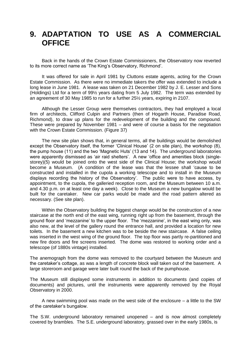### **9. ADAPTATION TO USE AS A COMMERCIAL OFFICE**

Back in the hands of the Crown Estate Commissioners, the Observatory now reverted to its more correct name as 'The King's Observatory, Richmond'.

It was offered for sale in April 1981 by Cluttons estate agents, acting for the Crown Estate Commission. As there were no immediate takers the offer was extended to include a long lease in June 1981. A lease was taken on 21 December 1982 by J. E. Lesser and Sons (Holdings) Ltd for a term of 99½ years dating from 5 July 1982. The term was extended by an agreement of 30 May 1985 to run for a further 25½ years, expiring in 2107.

Although the Lesser Group were themselves contractors, they had employed a local firm of architects, Clifford Culpin and Partners (then of Hogarth House, Paradise Road, Richmond), to draw up plans for the redevelopment of the building and the compound. These were prepared by November 1981 – and were of course a basis for the negotiation with the Crown Estate Commission. (Figure 37)

The new site plan shows that, in general terms, all the buildings would be demolished except the Observatory itself, the former 'Clinical House' (2 on site plan), the workshop (8), the pump house (11) and the two 'Magnetic Huts' (13 and 14). The underground laboratories were apparently dismissed as 'air raid shelters'. A new 'office and amenities block (singlestorey)(5) would be joined onto the west side of the Clinical House; the workshop would become a Museum. (A condition of the lease was that the lessee shall 'cause to be constructed and installed in the cupola a working telescope and to install in the Museum displays recording the history of the Observatory'. The public were to have access, by appointment, to the cupola, the galleried reception room, and the Museum between 10 a.m. and 4.30 p.m. on at least one day a week). Close to the Museum a new bungalow would be built for the caretaker. New car parks would be made and the road pattern altered as necessary. (See site plan).

Within the Observatory building the biggest change would be the construction of a new staircase at the north end of the east wing, running right up from the basement, through the ground floor and 'mezzanine' to the upper floor. The 'mezzanine', in the east wing only, was also new, at the level of the gallery round the entrance hall, and provided a location for new toilets. In the basement a new kitchen was to be beside the new staircase. A false ceiling was inserted in the west wing of the ground floor. The top floor was partly re-partitioned and new fire doors and fire screens inserted. The dome was restored to working order and a telescope (of 1880s vintage) installed.

The anemograph from the dome was removed to the courtyard between the Museum and the caretaker's cottage, as was a length of concrete block wall taken out of the basement. A large storeroom and garage were later built round the back of the pumphouse.

The Museum still displayed some instruments in addition to documents (and copies of documents) and pictures, until the instruments were apparently removed by the Royal Observatory in 2000.

A new swimming pool was made on the west side of the enclosure – a little to the SW of the caretaker's bungalow.

The S.W. underground laboratory remained unopened – and is now almost completely covered by brambles. The S.E. underground laboratory, grassed over in the early 1980s, is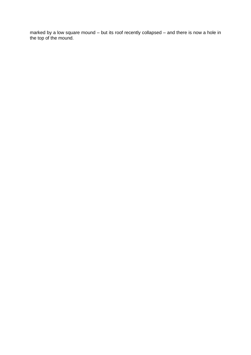marked by a low square mound – but its roof recently collapsed – and there is now a hole in the top of the mound.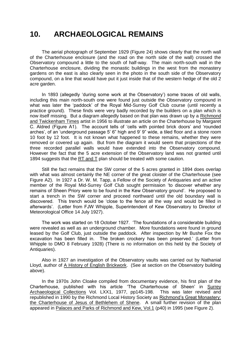### **10. ARCHAEOLOGICAL REMAINS**

The aerial photograph of September 1929 (Figure 24) shows clearly that the north wall of the Charterhouse enclosure (and the road on the north side of the wall) crossed the Observatory compound a little to the south of half-way. The main north-south wall in the Charterhouse enclosure, dividing the monastic buildings in the west from the monastery gardens on the east is also clearly seen in the photo in the south side of the Observatory compound, on a line that would have put it just inside that of the western hedge of the old 2 acre garden.

In 1893 (allegedly 'during some work at the Observatory') some traces of old walls, including this main north-south one were found just outside the Observatory compound in what was later the 'paddock' of the Royal Mid-Surrey Golf Club course (until recently a practice ground). These finds were very badly recorded by the builders on a plan which is now itself missing. But a diagram allegedly based on that plan was drawn up by a Richmond and Twickenham Times artist in 1956 to illustrate an article on the Charterhouse by Margaret C. Aldred (Figure A1). The account tells of 'cells with pointed brick doors' and 'rounded arches', of an 'underground passage 5' 6" high and 9' 9" wide, a tiled floor and a stone room 10 foot by 12 foot. It is not known what happened to these remains, whether they were removed or covered up again. But from the diagram it would seem that projections of the three recorded parallel walls would have extended into the Observatory compound. However the fact that the 5 acre extension of the Observatory land was not granted until 1894 suggests that the RT and T plan should be treated with some caution.

Still the fact remains that the SW corner of the 5 acres granted in 1894 does overlap with what was almost certainly the NE corner of the great cloister of the Charterhouse (see Figure A2). In 1927 a Dr. W. M. Tapp, a Fellow of the Society of Antiquaries and an active member of the Royal Mid-Surrey Golf Club sought permission 'to discover whether any remains of Sheen Priory were to be found in the Kew Observatory ground'. He proposed to start a trench in the SW corner and proceed northward until the old boundary wall is discovered. This trench would be 'close to the fence all the way and would be filled in afterwards'. (Letter from FJW Whipple, Superintendent of Kew Observatory to Director of Meteorological Office 14 July 1927).

The work was started on 18 October 1927. 'The foundations of a considerable building were revealed as well as an underground chamber. More foundations were found in ground leased by the Golf Club, just outside the paddock. After inspection by Mr Bushe Fox the excavation has been filled in. The broken crockery has been preserved.' (Letter from Whipple to DMO 8 February 1928) (There is no information on this held by the Society of Antiquaries).

Also in 1927 an investigation of the Observatory vaults was carried out by Nathanial Lloyd, author of A History of English Brickwork. (See at section on the Observatory building above).

In the 1970s John Cloake compiled from documentary evidence, his first plan of the Charterhouse, published with his article 'The Charterhouse of Sheen' in Surrey Archaeological Collections Vol. LXX1, 1977, pp145-198. This was later revised and republished in 1990 by the Richmond Local History Society as Richmond's Great Monastery: the Charterhouse of Jesus of Bethlehem of Shene. A small further revision of the plan appeared in Palaces and Parks of Richmond and Kew, Vol.1 (p40) in 1995 (see Figure 2).